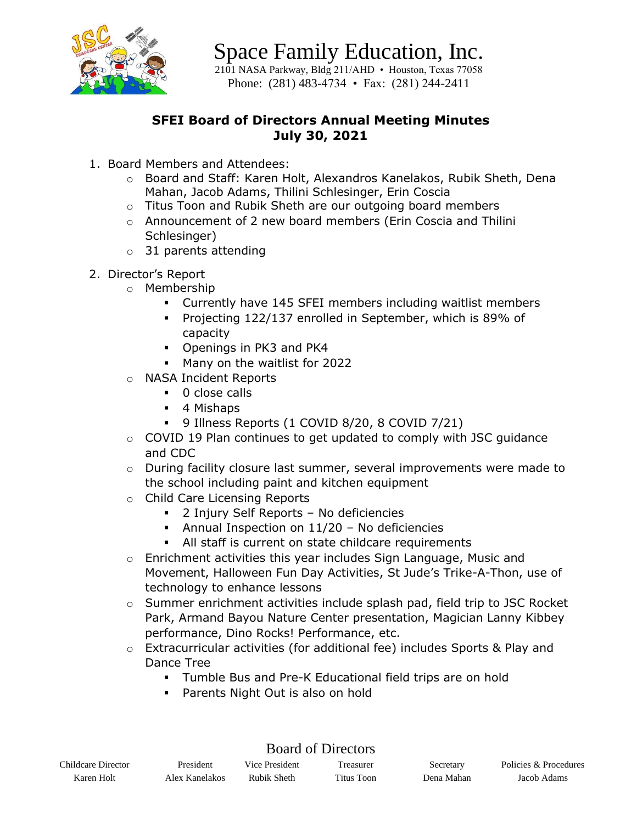

Space Family Education, Inc. 2101 NASA Parkway, Bldg 211/AHD • Houston, Texas 77058 Phone: (281) 483-4734 • Fax: (281) 244-2411

### **SFEI Board of Directors Annual Meeting Minutes July 30, 2021**

- 1. Board Members and Attendees:
	- o Board and Staff: Karen Holt, Alexandros Kanelakos, Rubik Sheth, Dena Mahan, Jacob Adams, Thilini Schlesinger, Erin Coscia
	- o Titus Toon and Rubik Sheth are our outgoing board members
	- $\circ$  Announcement of 2 new board members (Erin Coscia and Thilini Schlesinger)
	- o 31 parents attending
- 2. Director's Report
	- o Membership
		- Currently have 145 SFEI members including waitlist members
		- Projecting 122/137 enrolled in September, which is 89% of capacity
		- Openings in PK3 and PK4
		- Many on the waitlist for 2022
	- o NASA Incident Reports
		- 0 close calls
		- 4 Mishaps
		- 9 Illness Reports (1 COVID 8/20, 8 COVID 7/21)
	- o COVID 19 Plan continues to get updated to comply with JSC guidance and CDC
	- o During facility closure last summer, several improvements were made to the school including paint and kitchen equipment
	- o Child Care Licensing Reports
		- 2 Injury Self Reports No deficiencies
		- Annual Inspection on 11/20 No deficiencies
		- All staff is current on state childcare requirements
	- o Enrichment activities this year includes Sign Language, Music and Movement, Halloween Fun Day Activities, St Jude's Trike-A-Thon, use of technology to enhance lessons
	- o Summer enrichment activities include splash pad, field trip to JSC Rocket Park, Armand Bayou Nature Center presentation, Magician Lanny Kibbey performance, Dino Rocks! Performance, etc.
	- o Extracurricular activities (for additional fee) includes Sports & Play and Dance Tree
		- Tumble Bus and Pre-K Educational field trips are on hold
		- Parents Night Out is also on hold

| Childcare Director | President      | Vice President | Freasurer  | Secretary  | Policies & Procedures |
|--------------------|----------------|----------------|------------|------------|-----------------------|
| Karen Holt         | Alex Kanelakos | Rubik Sheth    | Titus Toon | Dena Mahan | Jacob Adams           |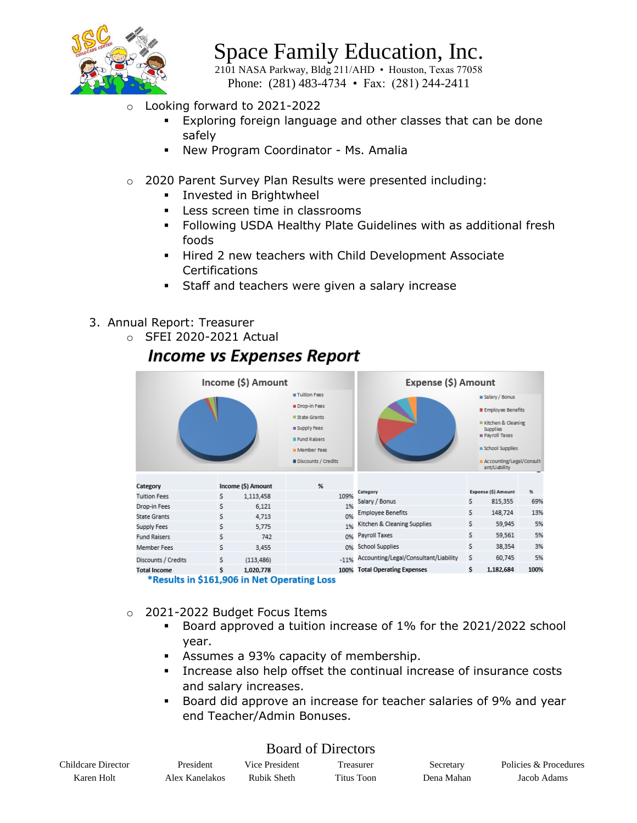

2101 NASA Parkway, Bldg 211/AHD • Houston, Texas 77058 Phone: (281) 483-4734 • Fax: (281) 244-2411

- Looking forward to 2021-2022
	- Exploring foreign language and other classes that can be done safely
	- New Program Coordinator Ms. Amalia
- o 2020 Parent Survey Plan Results were presented including:
	- **·** Invested in Brightwheel
	- Less screen time in classrooms
	- Following USDA Healthy Plate Guidelines with as additional fresh foods
	- Hired 2 new teachers with Child Development Associate **Certifications**
	- Staff and teachers were given a salary increase
- 3. Annual Report: Treasurer
	- o SFEI 2020-2021 Actual

## **Income vs Expenses Report**

|                                             |    | Income (\$) Amount |                                                                                                   | Expense (\$) Amount                   |    |                                                                                                                  |          |
|---------------------------------------------|----|--------------------|---------------------------------------------------------------------------------------------------|---------------------------------------|----|------------------------------------------------------------------------------------------------------------------|----------|
|                                             |    |                    | Tuition Fees<br>Drop-in Fees<br>State Grants<br>Supply Fees<br><b>Pund Raisers</b><br>Member Fees |                                       |    | salary / Bonus<br><b>Employee Benefits</b><br>Kitchen & Cleaning<br>Supplies<br>Payroll Taxes<br>school Supplies |          |
|                                             |    |                    | Discounts / Credits                                                                               |                                       |    | Accounting/Legal/Consult<br>ant/Liability                                                                        |          |
| Category                                    |    | Income (\$) Amount | %                                                                                                 |                                       |    |                                                                                                                  |          |
| <b>Tuition Fees</b>                         | s  | 1,113,458          | 109%                                                                                              | Category                              | s  | <b>Expense (S) Amount</b><br>815,355                                                                             | ℁<br>69% |
| Drop-in Fees                                | s  | 6,121              | 1%                                                                                                | Salary / Bonus                        |    |                                                                                                                  |          |
| <b>State Grants</b>                         | \$ | 4,713              | 0%                                                                                                | <b>Employee Benefits</b>              | s  | 148,724                                                                                                          | 13%      |
| Supply Fees                                 | \$ | 5,775              | 1%                                                                                                | Kitchen & Cleaning Supplies           | s  | 59,945                                                                                                           | 5%       |
| <b>Fund Raisers</b>                         | \$ | 742                | 0%                                                                                                | Payroll Taxes                         | \$ | 59,561                                                                                                           | 5%       |
| Member Fees                                 | s  | 3,455              | 0%                                                                                                | School Supplies                       | \$ | 38,354                                                                                                           | 3%       |
| Discounts / Credits                         | s  | (113, 486)         | $-11%$                                                                                            | Accounting/Legal/Consultant/Liability | 5  | 60,745                                                                                                           | 5%       |
| <b>Total Income</b>                         | s  | 1,020,778          | 100%                                                                                              | <b>Total Operating Expenses</b>       | s  | 1,182,684                                                                                                        | 100%     |
| *Results in \$161,906 in Net Operating Loss |    |                    |                                                                                                   |                                       |    |                                                                                                                  |          |

- o 2021-2022 Budget Focus Items
	- Board approved a tuition increase of 1% for the 2021/2022 school year.
	- Assumes a 93% capacity of membership.
	- Increase also help offset the continual increase of insurance costs and salary increases.
	- Board did approve an increase for teacher salaries of 9% and year end Teacher/Admin Bonuses.

| Childcare Director | President      | Vice President | <b>Treasurer</b> | Secretary  | Policies & Procedures |
|--------------------|----------------|----------------|------------------|------------|-----------------------|
| Karen Holt         | Alex Kanelakos | Rubik Sheth    | Titus Toon       | Dena Mahan | Jacob Adams           |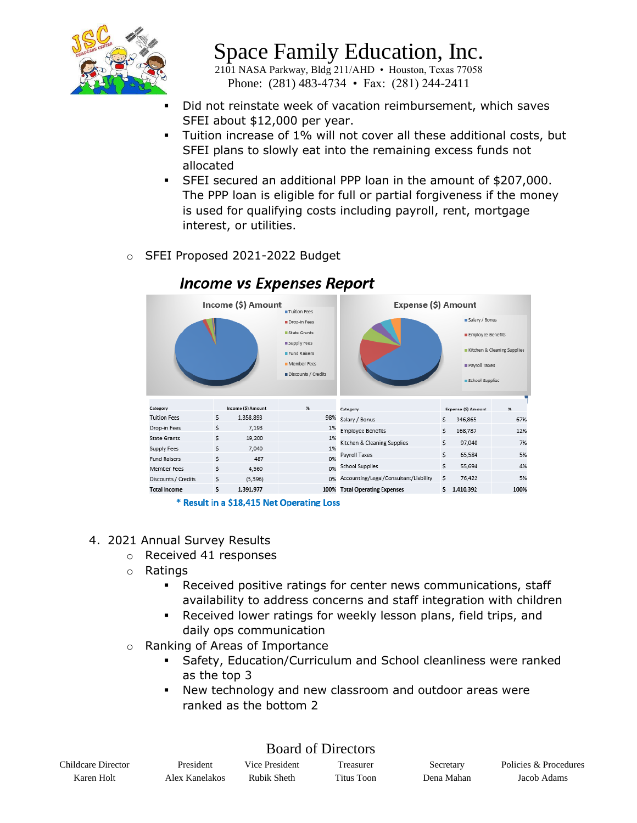

2101 NASA Parkway, Bldg 211/AHD • Houston, Texas 77058 Phone: (281) 483-4734 • Fax: (281) 244-2411

- Did not reinstate week of vacation reimbursement, which saves SFEI about \$12,000 per year.
- Tuition increase of 1% will not cover all these additional costs, but SFEI plans to slowly eat into the remaining excess funds not allocated
- SFEI secured an additional PPP loan in the amount of \$207,000. The PPP loan is eligible for full or partial forgiveness if the money is used for qualifying costs including payroll, rent, mortgage interest, or utilities.
- o SFEI Proposed 2021-2022 Budget



### **Income vs Expenses Report**

\* Result in a \$18,415 Net Operating Loss

- 4. 2021 Annual Survey Results
	- o Received 41 responses
	- o Ratings
		- Received positive ratings for center news communications, staff availability to address concerns and staff integration with children
		- Received lower ratings for weekly lesson plans, field trips, and daily ops communication
	- o Ranking of Areas of Importance
		- **Safety, Education/Curriculum and School cleanliness were ranked** as the top 3
		- New technology and new classroom and outdoor areas were ranked as the bottom 2

| Childcare Director | President      | Vice President | Freasurer  | Secretary  | Policies & Procedures |
|--------------------|----------------|----------------|------------|------------|-----------------------|
| Karen Holt         | Alex Kanelakos | Rubik Sheth    | Titus Toon | Dena Mahan | Jacob Adams           |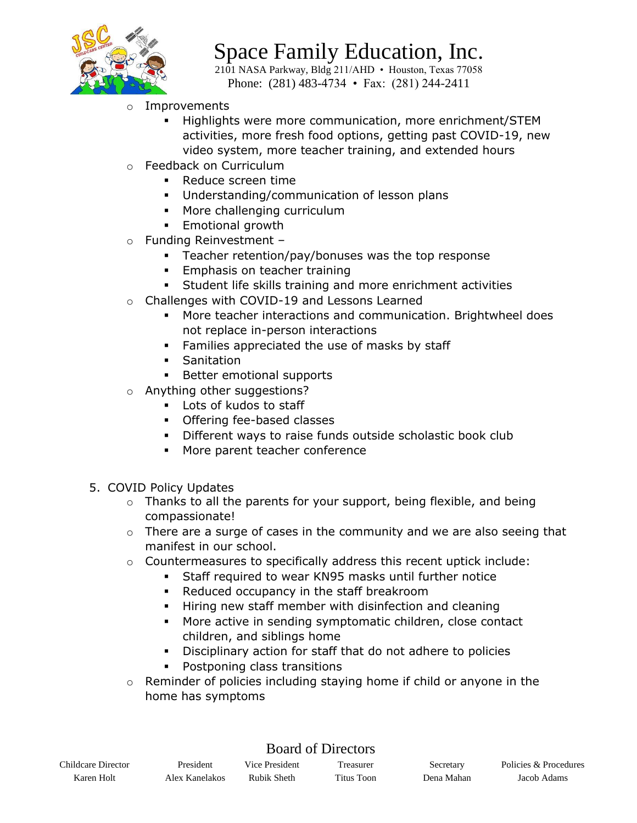

2101 NASA Parkway, Bldg 211/AHD • Houston, Texas 77058 Phone: (281) 483-4734 • Fax: (281) 244-2411

- **Improvements** 
	- Highlights were more communication, more enrichment/STEM activities, more fresh food options, getting past COVID-19, new video system, more teacher training, and extended hours
- o Feedback on Curriculum
	- Reduce screen time
	- Understanding/communication of lesson plans
	- More challenging curriculum
	- **Emotional growth**
- o Funding Reinvestment
	- **EXE** Teacher retention/pay/bonuses was the top response
	- **Emphasis on teacher training**
	- **EXECT Student life skills training and more enrichment activities**
- o Challenges with COVID-19 and Lessons Learned
	- More teacher interactions and communication. Brightwheel does not replace in-person interactions
	- **EXEC** Families appreciated the use of masks by staff
	- **•** Sanitation
	- Better emotional supports
- o Anything other suggestions?
	- Lots of kudos to staff
	- Offering fee-based classes
	- Different ways to raise funds outside scholastic book club
	- More parent teacher conference
- 5. COVID Policy Updates
	- $\circ$  Thanks to all the parents for your support, being flexible, and being compassionate!
	- o There are a surge of cases in the community and we are also seeing that manifest in our school.
	- $\circ$  Countermeasures to specifically address this recent uptick include:
		- Staff required to wear KN95 masks until further notice
		- Reduced occupancy in the staff breakroom
		- Hiring new staff member with disinfection and cleaning
		- More active in sending symptomatic children, close contact children, and siblings home
		- Disciplinary action for staff that do not adhere to policies
		- Postponing class transitions
	- $\circ$  Reminder of policies including staying home if child or anyone in the home has symptoms